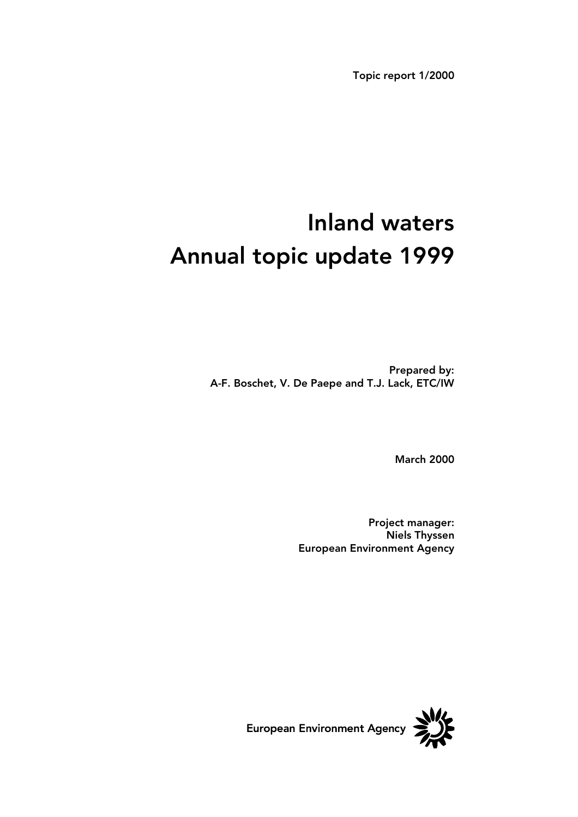Topic report 1/2000

# Inland waters Annual topic update 1999

Prepared by: A-F. Boschet, V. De Paepe and T.J. Lack, ETC/IW

March 2000

Project manager: Niels Thyssen European Environment Agency

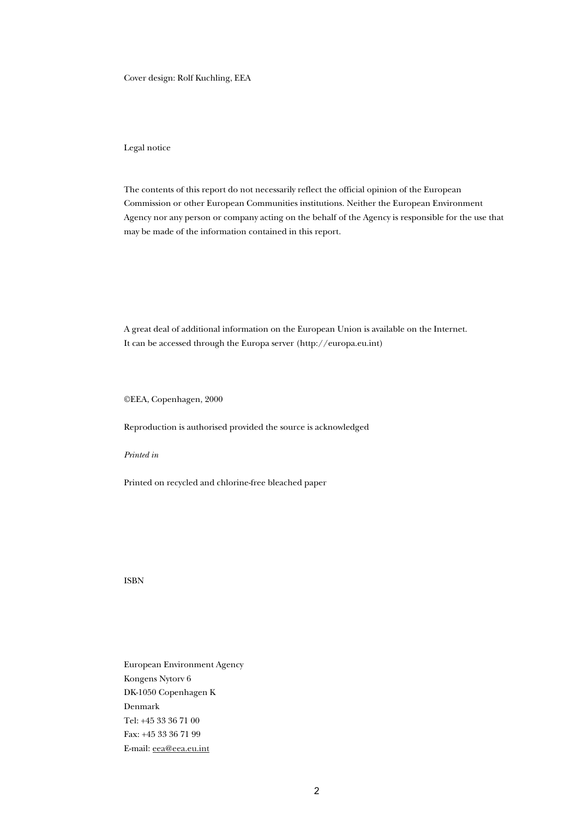Cover design: Rolf Kuchling, EEA

Legal notice

The contents of this report do not necessarily reflect the official opinion of the European Commission or other European Communities institutions. Neither the European Environment Agency nor any person or company acting on the behalf of the Agency is responsible for the use that may be made of the information contained in this report.

A great deal of additional information on the European Union is available on the Internet. It can be accessed through the Europa server (http://europa.eu.int)

©EEA, Copenhagen, 2000

Reproduction is authorised provided the source is acknowledged

*Printed in* 

Printed on recycled and chlorine-free bleached paper

ISBN

European Environment Agency Kongens Nytorv 6 DK-1050 Copenhagen K Denmark Tel: +45 33 36 71 00 Fax: +45 33 36 71 99 E-mail: eea@eea.eu.int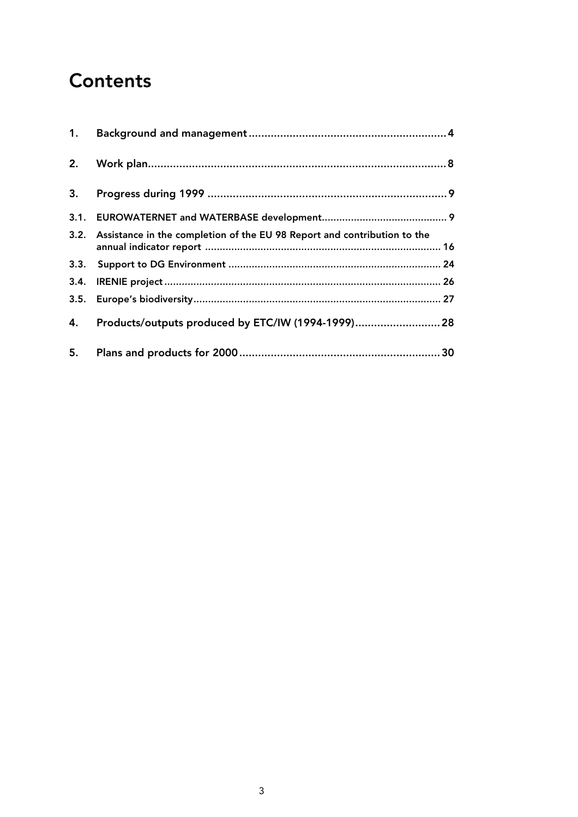## **Contents**

| 2. |                                                                               |  |
|----|-------------------------------------------------------------------------------|--|
| 3. |                                                                               |  |
|    |                                                                               |  |
|    | 3.2. Assistance in the completion of the EU 98 Report and contribution to the |  |
|    |                                                                               |  |
|    |                                                                               |  |
|    |                                                                               |  |
| 4. | Products/outputs produced by ETC/IW (1994-1999) 28                            |  |
| 5. |                                                                               |  |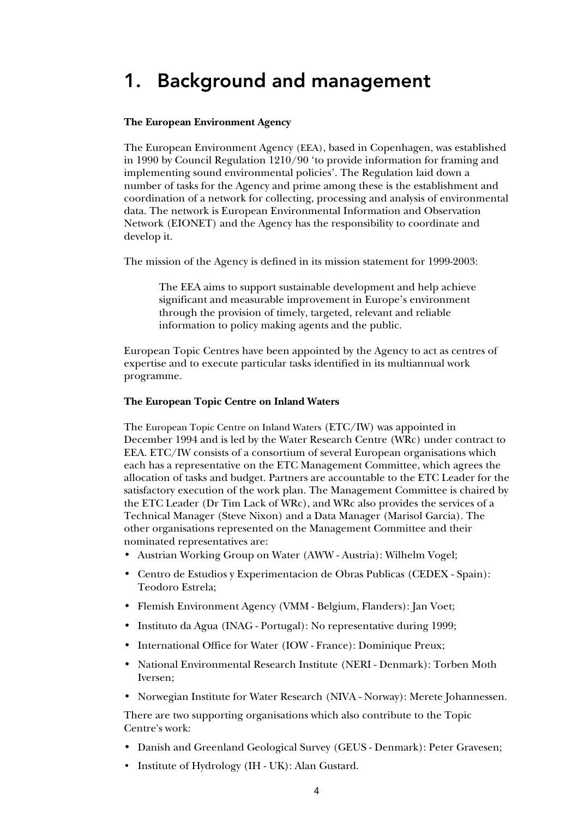## 1. Background and management

#### **The European Environment Agency**

The European Environment Agency (EEA), based in Copenhagen, was established in 1990 by Council Regulation 1210/90 'to provide information for framing and implementing sound environmental policies'. The Regulation laid down a number of tasks for the Agency and prime among these is the establishment and coordination of a network for collecting, processing and analysis of environmental data. The network is European Environmental Information and Observation Network (EIONET) and the Agency has the responsibility to coordinate and develop it.

The mission of the Agency is defined in its mission statement for 1999-2003:

The EEA aims to support sustainable development and help achieve significant and measurable improvement in Europe's environment through the provision of timely, targeted, relevant and reliable information to policy making agents and the public.

European Topic Centres have been appointed by the Agency to act as centres of expertise and to execute particular tasks identified in its multiannual work programme.

#### **The European Topic Centre on Inland Waters**

The European Topic Centre on Inland Waters (ETC/IW) was appointed in December 1994 and is led by the Water Research Centre (WRc) under contract to EEA. ETC/IW consists of a consortium of several European organisations which each has a representative on the ETC Management Committee, which agrees the allocation of tasks and budget. Partners are accountable to the ETC Leader for the satisfactory execution of the work plan. The Management Committee is chaired by the ETC Leader (Dr Tim Lack of WRc), and WRc also provides the services of a Technical Manager (Steve Nixon) and a Data Manager (Marisol Garcia). The other organisations represented on the Management Committee and their nominated representatives are:

- Austrian Working Group on Water (AWW Austria): Wilhelm Vogel;
- Centro de Estudios y Experimentacion de Obras Publicas (CEDEX Spain): Teodoro Estrela;
- Flemish Environment Agency (VMM Belgium, Flanders): Jan Voet;
- Instituto da Agua (INAG Portugal): No representative during 1999;
- International Office for Water (IOW France): Dominique Preux;
- National Environmental Research Institute (NERI Denmark): Torben Moth Iversen;
- Norwegian Institute for Water Research (NIVA Norway): Merete Johannessen.

There are two supporting organisations which also contribute to the Topic Centre's work:

- Danish and Greenland Geological Survey (GEUS Denmark): Peter Gravesen;
- Institute of Hydrology (IH UK): Alan Gustard.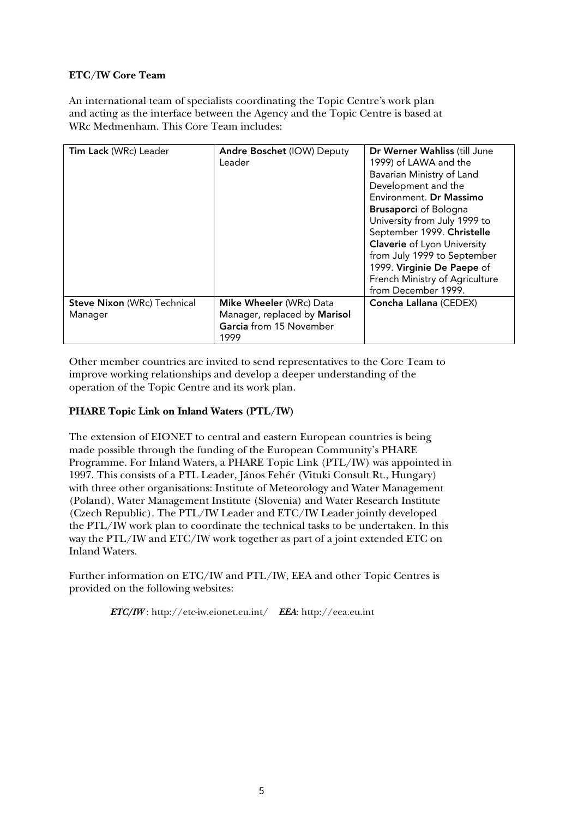#### **ETC/IW Core Team**

An international team of specialists coordinating the Topic Centre's work plan and acting as the interface between the Agency and the Topic Centre is based at WRc Medmenham. This Core Team includes:

| Tim Lack (WRc) Leader                         | <b>Andre Boschet (IOW) Deputy</b><br>Leader                                                | Dr Werner Wahliss (till June<br>1999) of LAWA and the<br>Bavarian Ministry of Land<br>Development and the                                                                                                                                                                         |
|-----------------------------------------------|--------------------------------------------------------------------------------------------|-----------------------------------------------------------------------------------------------------------------------------------------------------------------------------------------------------------------------------------------------------------------------------------|
|                                               |                                                                                            | Environment. Dr Massimo<br><b>Brusaporci</b> of Bologna<br>University from July 1999 to<br>September 1999. Christelle<br><b>Claverie</b> of Lyon University<br>from July 1999 to September<br>1999. Virginie De Paepe of<br>French Ministry of Agriculture<br>from December 1999. |
| <b>Steve Nixon (WRc) Technical</b><br>Manager | Mike Wheeler (WRc) Data<br>Manager, replaced by Marisol<br>Garcia from 15 November<br>1999 | Concha Lallana (CEDEX)                                                                                                                                                                                                                                                            |

Other member countries are invited to send representatives to the Core Team to improve working relationships and develop a deeper understanding of the operation of the Topic Centre and its work plan.

#### **PHARE Topic Link on Inland Waters (PTL/IW)**

The extension of EIONET to central and eastern European countries is being made possible through the funding of the European Community's PHARE Programme. For Inland Waters, a PHARE Topic Link (PTL/IW) was appointed in 1997. This consists of a PTL Leader, János Fehér (Vituki Consult Rt., Hungary) with three other organisations: Institute of Meteorology and Water Management (Poland), Water Management Institute (Slovenia) and Water Research Institute (Czech Republic). The PTL/IW Leader and ETC/IW Leader jointly developed the PTL/IW work plan to coordinate the technical tasks to be undertaken. In this way the PTL/IW and ETC/IW work together as part of a joint extended ETC on Inland Waters.

Further information on ETC/IW and PTL/IW, EEA and other Topic Centres is provided on the following websites:

*ETC/IW* : http://etc-iw.eionet.eu.int/ *EEA*: http://eea.eu.int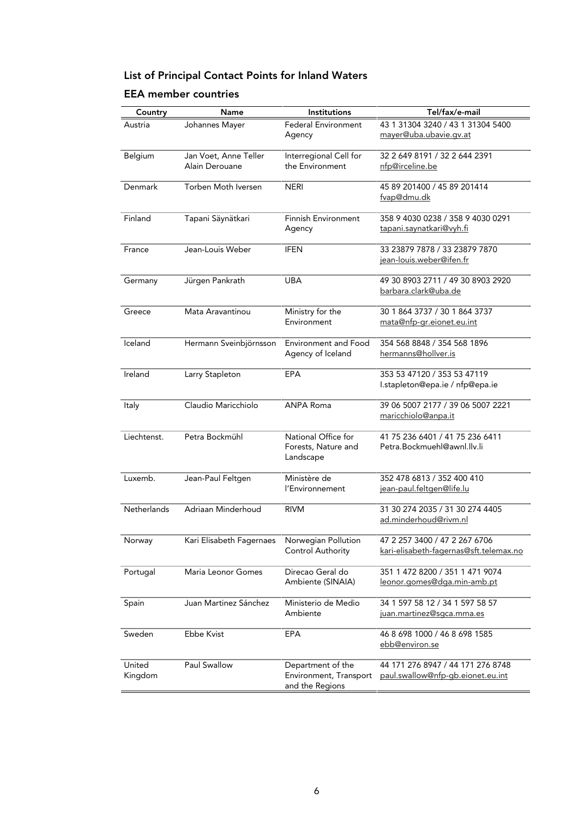## List of Principal Contact Points for Inland Waters

### EEA member countries

| Country           | Name                                    | Institutions                                                   | Tel/fax/e-mail                                                          |
|-------------------|-----------------------------------------|----------------------------------------------------------------|-------------------------------------------------------------------------|
| Austria           | Johannes Mayer                          | <b>Federal Environment</b><br>Agency                           | 43 1 31304 3240 / 43 1 31304 5400<br>mayer@uba.ubavie.gv.at             |
| Belgium           | Jan Voet, Anne Teller<br>Alain Derouane | Interregional Cell for<br>the Environment                      | 32 2 649 8191 / 32 2 644 2391<br>nfp@irceline.be                        |
| Denmark           | Torben Moth Iversen                     | <b>NERI</b>                                                    | 45 89 201400 / 45 89 201414<br>fvap@dmu.dk                              |
| Finland           | Tapani Säynätkari                       | <b>Finnish Environment</b><br>Agency                           | 358 9 4030 0238 / 358 9 4030 0291<br>tapani.saynatkari@vyh.fi           |
| France            | Jean-Louis Weber                        | <b>IFEN</b>                                                    | 33 23879 7878 / 33 23879 7870<br>jean-louis.weber@ifen.fr               |
| Germany           | Jürgen Pankrath                         | <b>UBA</b>                                                     | 49 30 8903 2711 / 49 30 8903 2920<br>barbara.clark@uba.de               |
| Greece            | Mata Aravantinou                        | Ministry for the<br>Environment                                | 30 1 864 3737 / 30 1 864 3737<br>mata@nfp-gr.eionet.eu.int              |
| Iceland           | Hermann Sveinbjörnsson                  | <b>Environment and Food</b><br>Agency of Iceland               | 354 568 8848 / 354 568 1896<br>hermanns@hollver.is                      |
| Ireland           | Larry Stapleton                         | EPA                                                            | 353 53 47120 / 353 53 47119<br>I.stapleton@epa.ie / nfp@epa.ie          |
| Italy             | Claudio Maricchiolo                     | <b>ANPA Roma</b>                                               | 39 06 5007 2177 / 39 06 5007 2221<br>maricchiolo@anpa.it                |
| Liechtenst.       | Petra Bockmühl                          | National Office for<br>Forests, Nature and<br>Landscape        | 41 75 236 6401 / 41 75 236 6411<br>Petra.Bockmuehl@awnl.llv.li          |
| Luxemb.           | Jean-Paul Feltgen                       | Ministère de<br>l'Environnement                                | 352 478 6813 / 352 400 410<br>jean-paul.feltgen@life.lu                 |
| Netherlands       | Adriaan Minderhoud                      | <b>RIVM</b>                                                    | 31 30 274 2035 / 31 30 274 4405<br>ad.minderhoud@rivm.nl                |
| Norway            | Kari Elisabeth Fagernaes                | Norwegian Pollution<br>Control Authority                       | 47 2 257 3400 / 47 2 267 6706<br>kari-elisabeth-fagernas@sft.telemax.no |
| Portugal          | Maria Leonor Gomes                      | Direcao Geral do<br>Ambiente (SINAIA)                          | 351 1 472 8200 / 351 1 471 9074<br>leonor.gomes@dga.min-amb.pt          |
| Spain             | Juan Martinez Sánchez                   | Ministerio de Medio<br>Ambiente                                | 34 1 597 58 12 / 34 1 597 58 57<br>juan.martinez@sgca.mma.es            |
| Sweden            | <b>Ebbe Kvist</b>                       | EPA                                                            | 46 8 698 1000 / 46 8 698 1585<br>ebb@environ.se                         |
| United<br>Kingdom | Paul Swallow                            | Department of the<br>Environment, Transport<br>and the Regions | 44 171 276 8947 / 44 171 276 8748<br>paul.swallow@nfp-gb.eionet.eu.int  |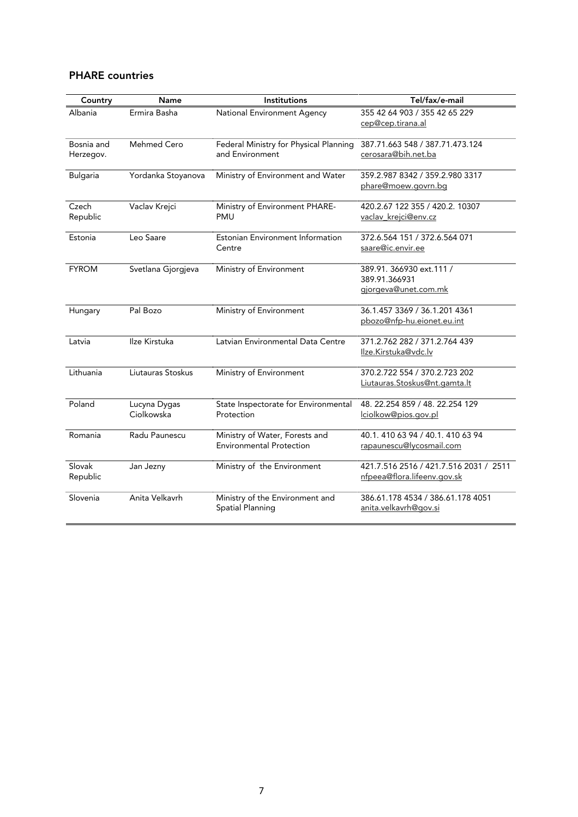### PHARE countries

| Country                 | Name                       | Institutions                                                      | Tel/fax/e-mail                                                        |
|-------------------------|----------------------------|-------------------------------------------------------------------|-----------------------------------------------------------------------|
| Albania                 | Ermira Basha               | National Environment Agency                                       | 355 42 64 903 / 355 42 65 229<br>cep@cep.tirana.al                    |
| Bosnia and<br>Herzegov. | Mehmed Cero                | Federal Ministry for Physical Planning<br>and Environment         | 387.71.663 548 / 387.71.473.124<br>cerosara@bih.net.ba                |
| <b>Bulgaria</b>         | Yordanka Stoyanova         | Ministry of Environment and Water                                 | 359.2.987 8342 / 359.2.980 3317<br>phare@moew.govrn.bg                |
| Czech<br>Republic       | Vaclav Krejci              | Ministry of Environment PHARE-<br><b>PMU</b>                      | 420.2.67 122 355 / 420.2. 10307<br>vaclav_krejci@env.cz               |
| Estonia                 | Leo Saare                  | Estonian Environment Information<br>Centre                        | 372.6.564 151 / 372.6.564 071<br>saare@ic.envir.ee                    |
| <b>FYROM</b>            | Svetlana Gjorgjeva         | Ministry of Environment                                           | 389.91. 366930 ext.111 /<br>389.91.366931<br>gjorgeva@unet.com.mk     |
| Hungary                 | Pal Bozo                   | Ministry of Environment                                           | 36.1.457 3369 / 36.1.201 4361<br>pbozo@nfp-hu.eionet.eu.int           |
| Latvia                  | Ilze Kirstuka              | Latvian Environmental Data Centre                                 | 371.2.762 282 / 371.2.764 439<br>Ilze.Kirstuka@vdc.lv                 |
| Lithuania               | Liutauras Stoskus          | Ministry of Environment                                           | 370.2.722 554 / 370.2.723 202<br>Liutauras.Stoskus@nt.gamta.lt        |
| Poland                  | Lucyna Dygas<br>Ciolkowska | State Inspectorate for Environmental<br>Protection                | 48. 22.254 859 / 48. 22.254 129<br>lciolkow@pios.gov.pl               |
| Romania                 | Radu Paunescu              | Ministry of Water, Forests and<br><b>Environmental Protection</b> | 40.1.410 63 94 / 40.1.410 63 94<br>rapaunescu@lycosmail.com           |
| Slovak<br>Republic      | Jan Jezny                  | Ministry of the Environment                                       | 421.7.516 2516 / 421.7.516 2031 / 2511<br>nfpeea@flora.lifeenv.gov.sk |
| Slovenia                | Anita Velkavrh             | Ministry of the Environment and<br>Spatial Planning               | 386.61.178 4534 / 386.61.178 4051<br>anita.velkavrh@gov.si            |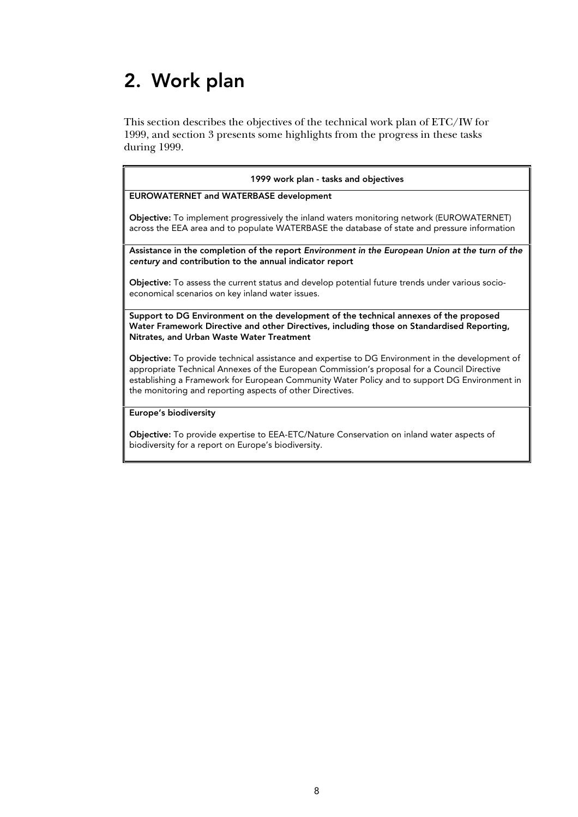# 2. Work plan

biodiversity for a report on Europe's biodiversity.

This section describes the objectives of the technical work plan of ETC/IW for 1999, and section 3 presents some highlights from the progress in these tasks during 1999.

| 1999 work plan - tasks and objectives                                                                                                                                                                                                                                                                                                                                |
|----------------------------------------------------------------------------------------------------------------------------------------------------------------------------------------------------------------------------------------------------------------------------------------------------------------------------------------------------------------------|
| EUROWATERNET and WATERBASE development                                                                                                                                                                                                                                                                                                                               |
| Objective: To implement progressively the inland waters monitoring network (EUROWATERNET)<br>across the EEA area and to populate WATERBASE the database of state and pressure information                                                                                                                                                                            |
| Assistance in the completion of the report Environment in the European Union at the turn of the<br>century and contribution to the annual indicator report                                                                                                                                                                                                           |
| Objective: To assess the current status and develop potential future trends under various socio-<br>economical scenarios on key inland water issues.                                                                                                                                                                                                                 |
| Support to DG Environment on the development of the technical annexes of the proposed<br>Water Framework Directive and other Directives, including those on Standardised Reporting,<br>Nitrates, and Urban Waste Water Treatment                                                                                                                                     |
| <b>Objective:</b> To provide technical assistance and expertise to DG Environment in the development of<br>appropriate Technical Annexes of the European Commission's proposal for a Council Directive<br>establishing a Framework for European Community Water Policy and to support DG Environment in<br>the monitoring and reporting aspects of other Directives. |
| Europe's biodiversity                                                                                                                                                                                                                                                                                                                                                |
| <b>Objective:</b> To provide expertise to EEA-ETC/Nature Conservation on inland water aspects of                                                                                                                                                                                                                                                                     |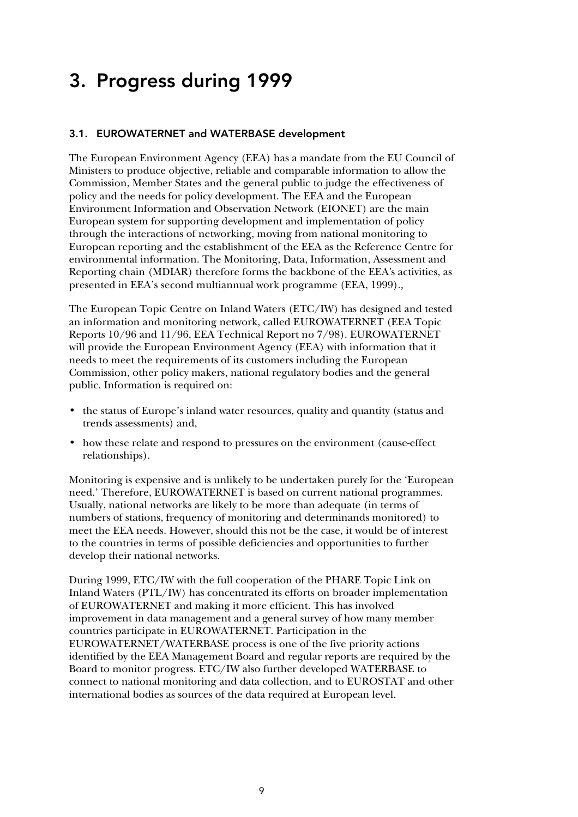## 3. Progress during 1999

#### 3.1. EUROWATERNET and WATERBASE development

The European Environment Agency (EEA) has a mandate from the EU Council of Ministers to produce objective, reliable and comparable information to allow the Commission, Member States and the general public to judge the effectiveness of policy and the needs for policy development. The EEA and the European Environment Information and Observation Network (EIONET) are the main European system for supporting development and implementation of policy through the interactions of networking, moving from national monitoring to European reporting and the establishment of the EEA as the Reference Centre for environmental information. The Monitoring, Data, Information, Assessment and Reporting chain (MDIAR) therefore forms the backbone of the EEA's activities, as presented in EEA's second multiannual work programme (EEA, 1999).,

The European Topic Centre on Inland Waters (ETC/IW) has designed and tested an information and monitoring network, called EUROWATERNET (EEA Topic Reports 10/96 and 11/96, EEA Technical Report no 7/98). EUROWATERNET will provide the European Environment Agency (EEA) with information that it needs to meet the requirements of its customers including the European Commission, other policy makers, national regulatory bodies and the general public. Information is required on:

- the status of Europe's inland water resources, quality and quantity (status and trends assessments) and,
- how these relate and respond to pressures on the environment (cause-effect relationships).

Monitoring is expensive and is unlikely to be undertaken purely for the 'European need.' Therefore, EUROWATERNET is based on current national programmes. Usually, national networks are likely to be more than adequate (in terms of numbers of stations, frequency of monitoring and determinands monitored) to meet the EEA needs. However, should this not be the case, it would be of interest to the countries in terms of possible deficiencies and opportunities to further develop their national networks.

During 1999, ETC/IW with the full cooperation of the PHARE Topic Link on Inland Waters (PTL/IW) has concentrated its efforts on broader implementation of EUROWATERNET and making it more efficient. This has involved improvement in data management and a general survey of how many member countries participate in EUROWATERNET. Participation in the EUROWATERNET/WATERBASE process is one of the five priority actions identified by the EEA Management Board and regular reports are required by the Board to monitor progress. ETC/IW also further developed WATERBASE to connect to national monitoring and data collection, and to EUROSTAT and other international bodies as sources of the data required at European level.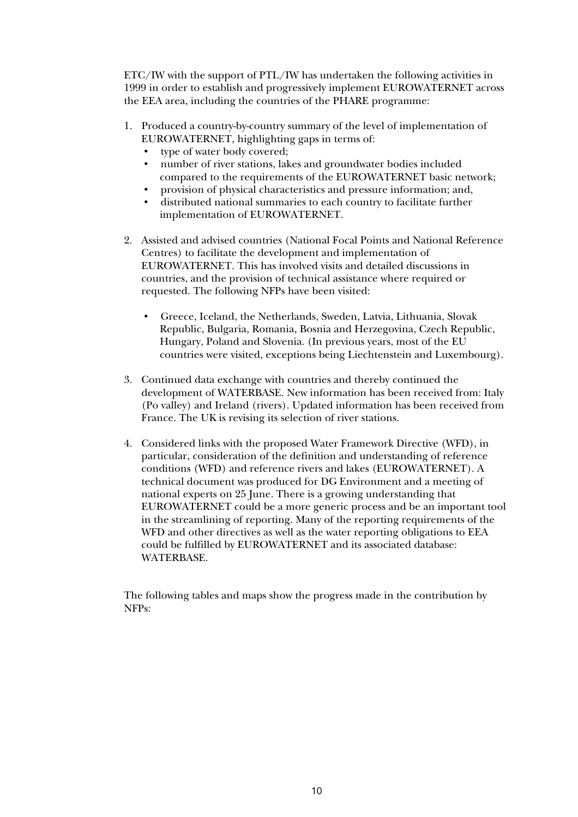ETC/IW with the support of PTL/IW has undertaken the following activities in 1999 in order to establish and progressively implement EUROWATERNET across the EEA area, including the countries of the PHARE programme:

- 1. Produced a country-by-country summary of the level of implementation of EUROWATERNET, highlighting gaps in terms of:
	- type of water body covered;
	- number of river stations, lakes and groundwater bodies included compared to the requirements of the EUROWATERNET basic network;
	- provision of physical characteristics and pressure information; and,
	- distributed national summaries to each country to facilitate further implementation of EUROWATERNET.
- 2. Assisted and advised countries (National Focal Points and National Reference Centres) to facilitate the development and implementation of EUROWATERNET. This has involved visits and detailed discussions in countries, and the provision of technical assistance where required or requested. The following NFPs have been visited:
	- Greece, Iceland, the Netherlands, Sweden, Latvia, Lithuania, Slovak Republic, Bulgaria, Romania, Bosnia and Herzegovina, Czech Republic, Hungary, Poland and Slovenia. (In previous years, most of the EU countries were visited, exceptions being Liechtenstein and Luxembourg).
- 3. Continued data exchange with countries and thereby continued the development of WATERBASE. New information has been received from: Italy (Po valley) and Ireland (rivers). Updated information has been received from France. The UK is revising its selection of river stations.
- 4. Considered links with the proposed Water Framework Directive (WFD), in particular, consideration of the definition and understanding of reference conditions (WFD) and reference rivers and lakes (EUROWATERNET). A technical document was produced for DG Environment and a meeting of national experts on 25 June. There is a growing understanding that EUROWATERNET could be a more generic process and be an important tool in the streamlining of reporting. Many of the reporting requirements of the WFD and other directives as well as the water reporting obligations to EEA could be fulfilled by EUROWATERNET and its associated database: WATERBASE.

The following tables and maps show the progress made in the contribution by NFPs: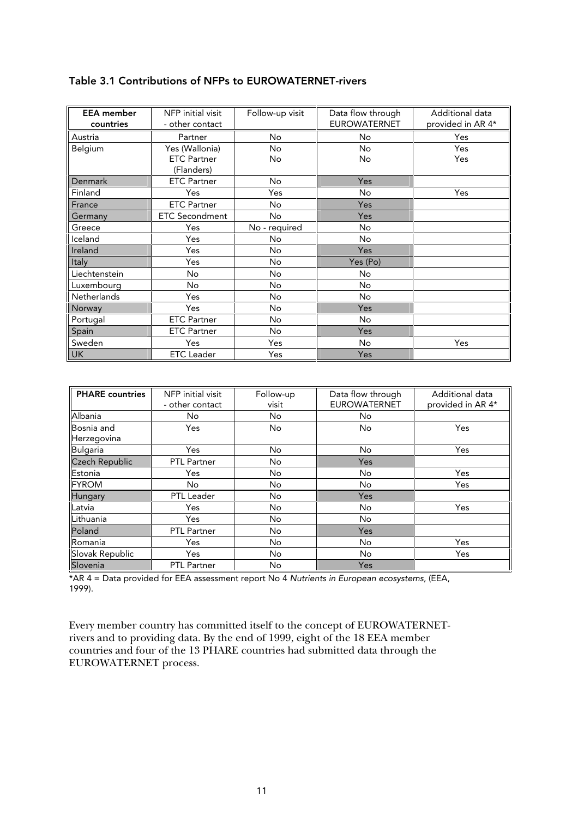| <b>EEA</b> member<br>countries | NFP initial visit<br>- other contact | Follow-up visit | Data flow through<br><b>EUROWATERNET</b> | Additional data<br>provided in AR 4* |
|--------------------------------|--------------------------------------|-----------------|------------------------------------------|--------------------------------------|
| Austria                        | Partner                              | No.             | No                                       | Yes                                  |
| Belgium                        | Yes (Wallonia)                       | <b>No</b>       | No                                       | Yes                                  |
|                                | <b>ETC Partner</b>                   | No.             | No                                       | Yes                                  |
|                                | (Flanders)                           |                 |                                          |                                      |
| Denmark                        | <b>ETC Partner</b>                   | No.             | <b>Yes</b>                               |                                      |
| Finland                        | Yes                                  | Yes             | <b>No</b>                                | Yes                                  |
| France                         | <b>ETC Partner</b>                   | No.             | <b>Yes</b>                               |                                      |
| Germany                        | <b>ETC Secondment</b>                | No.             | <b>Yes</b>                               |                                      |
| Greece                         | Yes                                  | No - required   | <b>No</b>                                |                                      |
| Iceland                        | Yes                                  | No.             | No                                       |                                      |
| Ireland                        | Yes                                  | <b>No</b>       | Yes                                      |                                      |
| Italy                          | Yes                                  | <b>No</b>       | Yes (Po)                                 |                                      |
| Liechtenstein                  | No                                   | <b>No</b>       | No                                       |                                      |
| Luxembourg                     | No                                   | <b>No</b>       | No.                                      |                                      |
| Netherlands                    | Yes                                  | <b>No</b>       | No.                                      |                                      |
| Norway                         | Yes                                  | <b>No</b>       | Yes                                      |                                      |
| Portugal                       | <b>ETC Partner</b>                   | No.             | No                                       |                                      |
| Spain                          | <b>ETC Partner</b>                   | <b>No</b>       | Yes                                      |                                      |
| Sweden                         | Yes                                  | Yes             | No                                       | Yes                                  |
| UK                             | <b>ETC</b> Leader                    | Yes             | Yes                                      |                                      |

### Table 3.1 Contributions of NFPs to EUROWATERNET-rivers

| <b>PHARE</b> countries | NFP initial visit  | Follow-up | Data flow through   | Additional data   |
|------------------------|--------------------|-----------|---------------------|-------------------|
|                        | - other contact    | visit     | <b>EUROWATERNET</b> | provided in AR 4* |
| Albania                | No                 | No        | <b>No</b>           |                   |
| Bosnia and             | Yes                | No        | No                  | Yes               |
| Herzegovina            |                    |           |                     |                   |
| Bulgaria               | Yes                | No        | No                  | Yes               |
| <b>Czech Republic</b>  | <b>PTL Partner</b> | No        | Yes                 |                   |
| Estonia                | Yes                | No        | No                  | Yes               |
| <b>FYROM</b>           | No.                | No        | <b>No</b>           | Yes               |
| Hungary                | PTL Leader         | No        | Yes                 |                   |
| Latvia                 | Yes                | No        | No                  | Yes               |
| Lithuania              | Yes                | No        | <b>No</b>           |                   |
| Poland                 | <b>PTL Partner</b> | No        | Yes                 |                   |
| Romania                | Yes                | No        | No                  | Yes               |
| Slovak Republic        | Yes                | No        | <b>No</b>           | Yes               |
| Slovenia               | <b>PTL Partner</b> | No        | Yes                 |                   |

\*AR 4 = Data provided for EEA assessment report No 4 Nutrients in European ecosystems, (EEA, 1999).

Every member country has committed itself to the concept of EUROWATERNETrivers and to providing data. By the end of 1999, eight of the 18 EEA member countries and four of the 13 PHARE countries had submitted data through the EUROWATERNET process.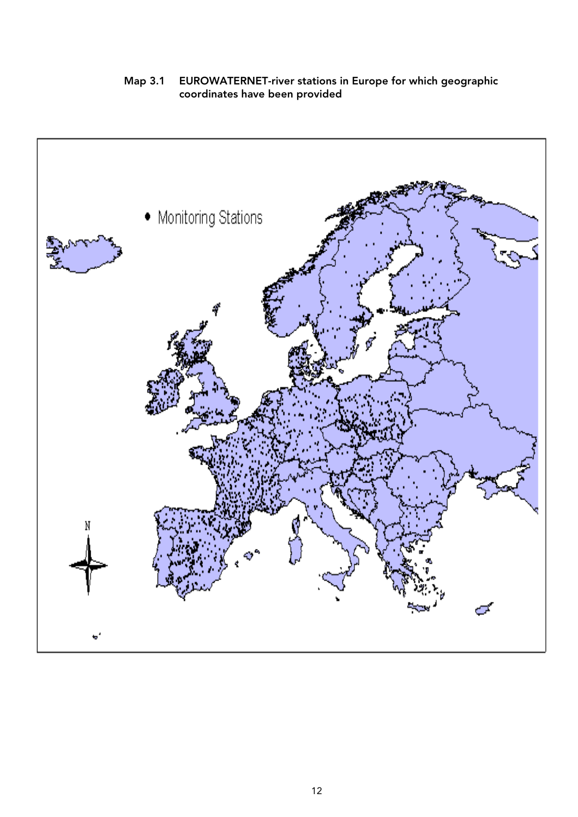Map 3.1 EUROWATERNET-river stations in Europe for which geographic coordinates have been provided

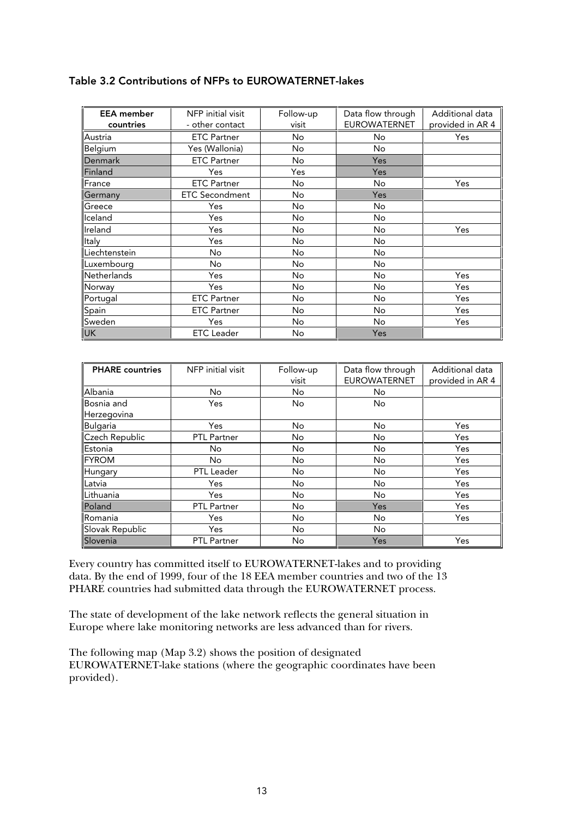| <b>EEA</b> member  | NFP initial visit     | Follow-up | Data flow through   | Additional data  |
|--------------------|-----------------------|-----------|---------------------|------------------|
| countries          | - other contact       | visit     | <b>EUROWATERNET</b> | provided in AR 4 |
| Austria            | <b>ETC Partner</b>    | No.       | <b>No</b>           | Yes              |
| Belgium            | Yes (Wallonia)        | No.       | No                  |                  |
| Denmark            | <b>ETC Partner</b>    | No        | Yes                 |                  |
| Finland            | Yes                   | Yes       | Yes                 |                  |
| France             | <b>ETC Partner</b>    | No.       | No                  | Yes              |
| Germany            | <b>ETC Secondment</b> | No.       | Yes                 |                  |
| Greece             | Yes                   | No        | No                  |                  |
| lceland            | Yes                   | <b>No</b> | No                  |                  |
| Ireland            | Yes                   | No.       | <b>No</b>           | Yes              |
| Italy              | Yes                   | <b>No</b> | <b>No</b>           |                  |
| Liechtenstein      | No.                   | <b>No</b> | No                  |                  |
| Luxembourg         | No                    | No        | No.                 |                  |
| <b>Netherlands</b> | Yes                   | <b>No</b> | No                  | Yes              |
| Norway             | Yes                   | <b>No</b> | No                  | Yes              |
| Portugal           | <b>ETC Partner</b>    | No.       | No.                 | Yes              |
| Spain              | <b>ETC Partner</b>    | No.       | No.                 | Yes              |
| Sweden             | Yes                   | No.       | <b>No</b>           | Yes              |
| <b>UK</b>          | <b>ETC</b> Leader     | No        | Yes                 |                  |

#### Table 3.2 Contributions of NFPs to EUROWATERNET-lakes

| <b>PHARE</b> countries | NFP initial visit  | Follow-up | Data flow through   | Additional data  |
|------------------------|--------------------|-----------|---------------------|------------------|
|                        |                    | visit     | <b>EUROWATERNET</b> | provided in AR 4 |
| <b>Albania</b>         | No                 | <b>No</b> | No                  |                  |
| Bosnia and             | Yes                | No        | No                  |                  |
| Herzegovina            |                    |           |                     |                  |
| Bulgaria               | Yes                | No        | <b>No</b>           | Yes              |
| Czech Republic         | PTL Partner        | No        | No                  | Yes              |
| Estonia                | No                 | <b>No</b> | No                  | Yes              |
| <b>IFYROM</b>          | No                 | <b>No</b> | <b>No</b>           | Yes              |
| Hungary                | <b>PTL</b> Leader  | <b>No</b> | <b>No</b>           | Yes              |
| Latvia                 | Yes                | No        | No                  | Yes              |
| <b>ILithuania</b>      | Yes                | No        | <b>No</b>           | Yes              |
| Poland                 | <b>PTL Partner</b> | <b>No</b> | Yes                 | Yes              |
| Romania                | Yes                | No        | <b>No</b>           | Yes              |
| Slovak Republic        | Yes                | No        | <b>No</b>           |                  |
| Slovenia               | <b>PTL Partner</b> | No        | Yes                 | Yes              |

Every country has committed itself to EUROWATERNET-lakes and to providing data. By the end of 1999, four of the 18 EEA member countries and two of the 13 PHARE countries had submitted data through the EUROWATERNET process.

The state of development of the lake network reflects the general situation in Europe where lake monitoring networks are less advanced than for rivers.

The following map (Map 3.2) shows the position of designated EUROWATERNET-lake stations (where the geographic coordinates have been provided).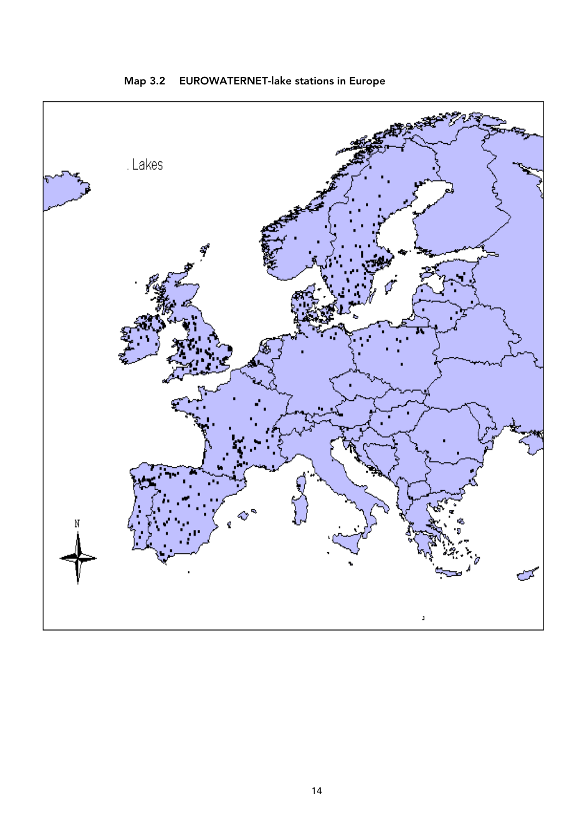

Map 3.2 EUROWATERNET-lake stations in Europe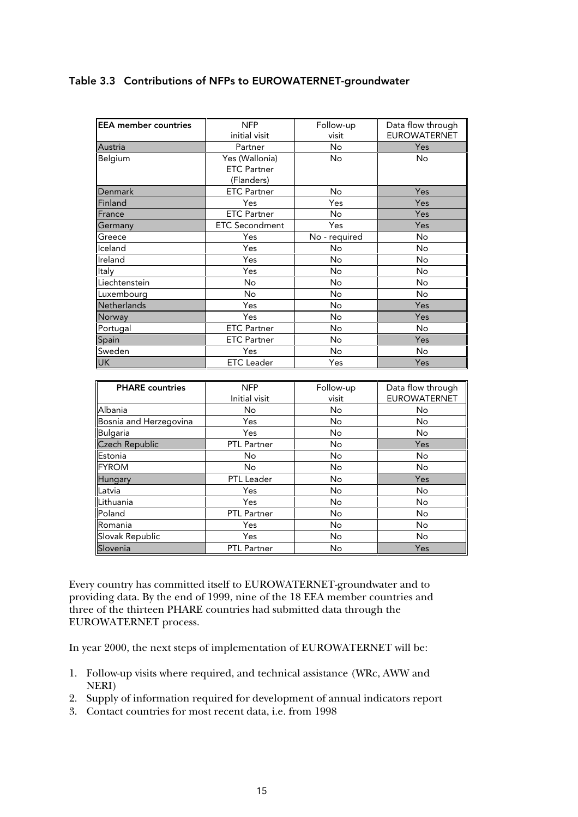| <b>EEA member countries</b> | <b>NFP</b>            | Follow-up     | Data flow through   |
|-----------------------------|-----------------------|---------------|---------------------|
|                             | initial visit         | visit         | <b>EUROWATERNET</b> |
| Austria                     | Partner               | No.           | Yes                 |
| Belgium                     | Yes (Wallonia)        | <b>No</b>     | No                  |
|                             | <b>ETC Partner</b>    |               |                     |
|                             | (Flanders)            |               |                     |
| Denmark                     | <b>ETC Partner</b>    | No.           | Yes                 |
| Finland                     | Yes                   | Yes           | Yes                 |
| France                      | <b>ETC Partner</b>    | No.           | Yes                 |
| Germany                     | <b>ETC Secondment</b> | Yes           | Yes                 |
| Greece                      | Yes                   | No - required | No                  |
| Iceland                     | Yes                   | No            | No                  |
| Ireland                     | Yes                   | No            | No                  |
| Italy                       | Yes                   | <b>No</b>     | No                  |
| Liechtenstein               | No.                   | No            | No                  |
| Luxembourg                  | No                    | No            | No                  |
| <b>Netherlands</b>          | Yes                   | <b>No</b>     | Yes                 |
| Norway                      | Yes                   | No            | Yes                 |
| Portugal                    | <b>ETC Partner</b>    | No            | No                  |
| Spain                       | <b>ETC Partner</b>    | No            | Yes                 |
| Sweden                      | Yes                   | No            | No                  |
| <b>UK</b>                   | <b>ETC</b> Leader     | Yes           | Yes                 |

| <b>PHARE</b> countries | <b>NFP</b>         | Follow-up | Data flow through   |
|------------------------|--------------------|-----------|---------------------|
|                        | Initial visit      | visit     | <b>EUROWATERNET</b> |
| Albania                | No                 | No        | No                  |
| Bosnia and Herzegovina | Yes                | No        | No                  |
| <b>Bulgaria</b>        | Yes                | No        | No                  |
| <b>Czech Republic</b>  | <b>PTL Partner</b> | No        | Yes                 |
| Estonia                | No                 | No        | No                  |
| <b>FYROM</b>           | No                 | No        | No                  |
| Hungary                | PTL Leader         | No        | Yes                 |
| Latvia                 | Yes                | No        | No                  |
| Lithuania              | Yes                | No        | No                  |
| Poland                 | PTL Partner        | No        | No                  |
| Romania                | Yes                | No        | No                  |
| Slovak Republic        | Yes                | No        | No                  |
| Slovenia               | <b>PTL Partner</b> | No        | Yes                 |

Every country has committed itself to EUROWATERNET-groundwater and to providing data. By the end of 1999, nine of the 18 EEA member countries and three of the thirteen PHARE countries had submitted data through the EUROWATERNET process.

In year 2000, the next steps of implementation of EUROWATERNET will be:

- 1. Follow-up visits where required, and technical assistance (WRc, AWW and NERI)
- 2. Supply of information required for development of annual indicators report
- 3. Contact countries for most recent data, i.e. from 1998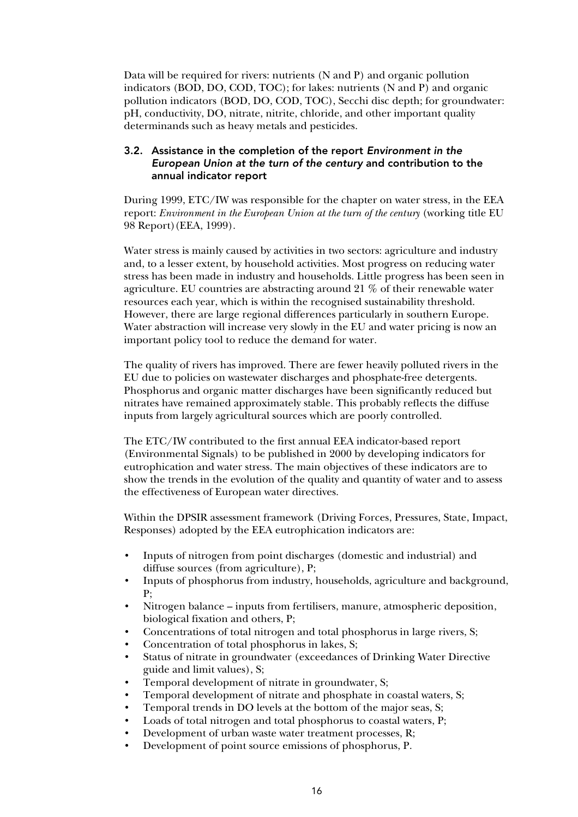Data will be required for rivers: nutrients (N and P) and organic pollution indicators (BOD, DO, COD, TOC); for lakes: nutrients (N and P) and organic pollution indicators (BOD, DO, COD, TOC), Secchi disc depth; for groundwater: pH, conductivity, DO, nitrate, nitrite, chloride, and other important quality determinands such as heavy metals and pesticides.

#### 3.2. Assistance in the completion of the report Environment in the European Union at the turn of the century and contribution to the annual indicator report

During 1999, ETC/IW was responsible for the chapter on water stress, in the EEA report: *Environment in the European Union at the turn of the century* (working title EU 98 Report)(EEA, 1999).

Water stress is mainly caused by activities in two sectors: agriculture and industry and, to a lesser extent, by household activities. Most progress on reducing water stress has been made in industry and households. Little progress has been seen in agriculture. EU countries are abstracting around 21 % of their renewable water resources each year, which is within the recognised sustainability threshold. However, there are large regional differences particularly in southern Europe. Water abstraction will increase very slowly in the EU and water pricing is now an important policy tool to reduce the demand for water.

The quality of rivers has improved. There are fewer heavily polluted rivers in the EU due to policies on wastewater discharges and phosphate-free detergents. Phosphorus and organic matter discharges have been significantly reduced but nitrates have remained approximately stable. This probably reflects the diffuse inputs from largely agricultural sources which are poorly controlled.

The ETC/IW contributed to the first annual EEA indicator-based report (Environmental Signals) to be published in 2000 by developing indicators for eutrophication and water stress. The main objectives of these indicators are to show the trends in the evolution of the quality and quantity of water and to assess the effectiveness of European water directives.

Within the DPSIR assessment framework (Driving Forces, Pressures, State, Impact, Responses) adopted by the EEA eutrophication indicators are:

- Inputs of nitrogen from point discharges (domestic and industrial) and diffuse sources (from agriculture), P;
- Inputs of phosphorus from industry, households, agriculture and background, P;
- Nitrogen balance inputs from fertilisers, manure, atmospheric deposition, biological fixation and others, P;
- Concentrations of total nitrogen and total phosphorus in large rivers, S;
- Concentration of total phosphorus in lakes, S;
- Status of nitrate in groundwater (exceedances of Drinking Water Directive guide and limit values), S;
- Temporal development of nitrate in groundwater, S;
- Temporal development of nitrate and phosphate in coastal waters, S;
- Temporal trends in DO levels at the bottom of the major seas, S;
- Loads of total nitrogen and total phosphorus to coastal waters, P;
- Development of urban waste water treatment processes, R;
- Development of point source emissions of phosphorus, P.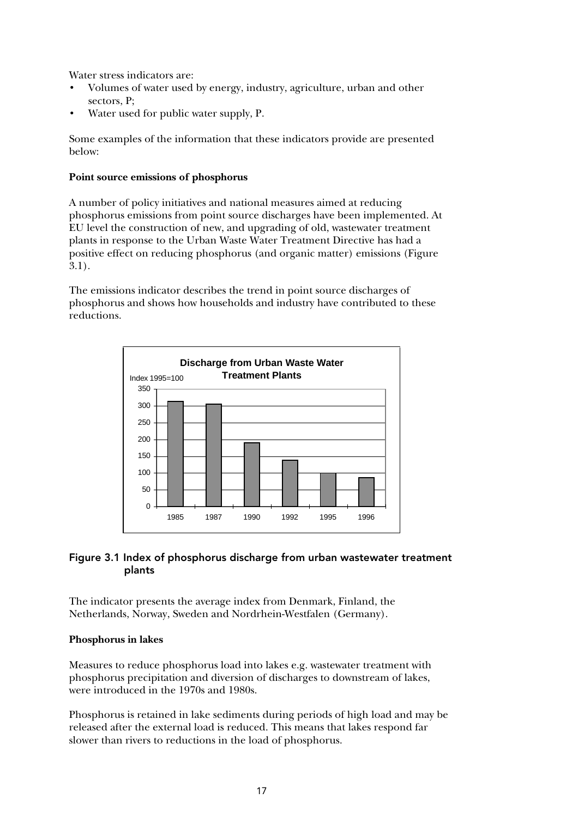Water stress indicators are:

- Volumes of water used by energy, industry, agriculture, urban and other sectors, P;
- Water used for public water supply, P.

Some examples of the information that these indicators provide are presented below:

#### **Point source emissions of phosphorus**

A number of policy initiatives and national measures aimed at reducing phosphorus emissions from point source discharges have been implemented. At EU level the construction of new, and upgrading of old, wastewater treatment plants in response to the Urban Waste Water Treatment Directive has had a positive effect on reducing phosphorus (and organic matter) emissions (Figure  $(3.1)$ .

The emissions indicator describes the trend in point source discharges of phosphorus and shows how households and industry have contributed to these reductions.



#### Figure 3.1 Index of phosphorus discharge from urban wastewater treatment plants

The indicator presents the average index from Denmark, Finland, the Netherlands, Norway, Sweden and Nordrhein-Westfalen (Germany).

#### **Phosphorus in lakes**

Measures to reduce phosphorus load into lakes e.g. wastewater treatment with phosphorus precipitation and diversion of discharges to downstream of lakes, were introduced in the 1970s and 1980s.

Phosphorus is retained in lake sediments during periods of high load and may be released after the external load is reduced. This means that lakes respond far slower than rivers to reductions in the load of phosphorus.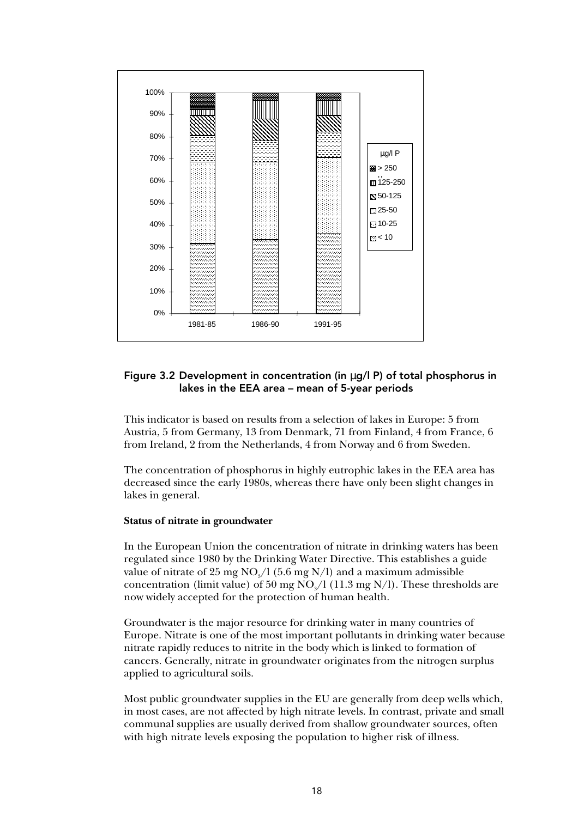

#### Figure 3.2 Development in concentration (in µg/l P) of total phosphorus in lakes in the EEA area – mean of 5-year periods

This indicator is based on results from a selection of lakes in Europe: 5 from Austria, 5 from Germany, 13 from Denmark, 71 from Finland, 4 from France, 6 from Ireland, 2 from the Netherlands, 4 from Norway and 6 from Sweden.

The concentration of phosphorus in highly eutrophic lakes in the EEA area has decreased since the early 1980s, whereas there have only been slight changes in lakes in general.

#### **Status of nitrate in groundwater**

In the European Union the concentration of nitrate in drinking waters has been regulated since 1980 by the Drinking Water Directive. This establishes a guide value of nitrate of  $25 \text{ mg NO}_3/1$  (5.6 mg N/l) and a maximum admissible concentration (limit value) of  $50 \text{ mg NO}_3/1$  (11.3 mg N/l). These thresholds are now widely accepted for the protection of human health.

Groundwater is the major resource for drinking water in many countries of Europe. Nitrate is one of the most important pollutants in drinking water because nitrate rapidly reduces to nitrite in the body which is linked to formation of cancers. Generally, nitrate in groundwater originates from the nitrogen surplus applied to agricultural soils.

Most public groundwater supplies in the EU are generally from deep wells which, in most cases, are not affected by high nitrate levels. In contrast, private and small communal supplies are usually derived from shallow groundwater sources, often with high nitrate levels exposing the population to higher risk of illness.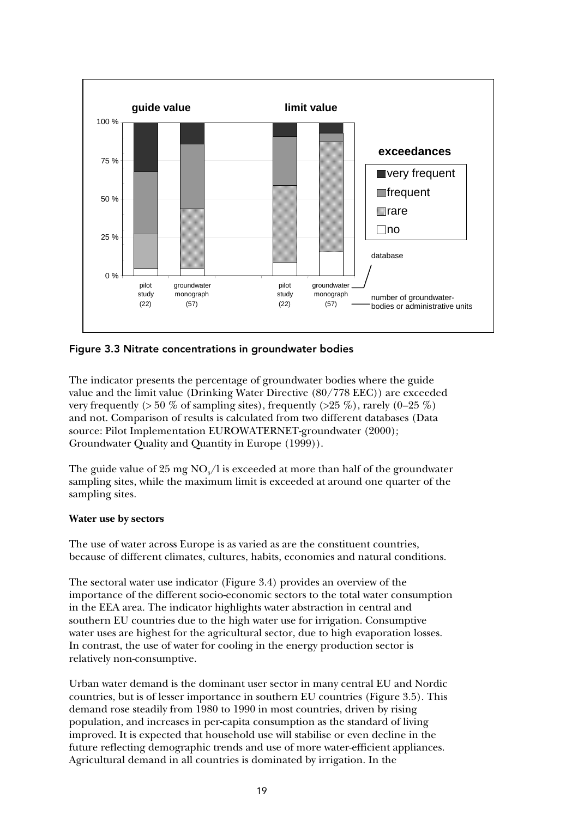

Figure 3.3 Nitrate concentrations in groundwater bodies

The indicator presents the percentage of groundwater bodies where the guide value and the limit value (Drinking Water Directive (80/778 EEC)) are exceeded very frequently ( $> 50\%$  of sampling sites), frequently ( $> 25\%$ ), rarely (0–25 %) and not. Comparison of results is calculated from two different databases (Data source: Pilot Implementation EUROWATERNET-groundwater (2000); Groundwater Quality and Quantity in Europe (1999)).

The guide value of  $25 \text{ mg NO}_\text{s}/\text{l}$  is exceeded at more than half of the groundwater sampling sites, while the maximum limit is exceeded at around one quarter of the sampling sites.

#### **Water use by sectors**

The use of water across Europe is as varied as are the constituent countries, because of different climates, cultures, habits, economies and natural conditions.

The sectoral water use indicator (Figure 3.4) provides an overview of the importance of the different socio-economic sectors to the total water consumption in the EEA area. The indicator highlights water abstraction in central and southern EU countries due to the high water use for irrigation. Consumptive water uses are highest for the agricultural sector, due to high evaporation losses. In contrast, the use of water for cooling in the energy production sector is relatively non-consumptive.

Urban water demand is the dominant user sector in many central EU and Nordic countries, but is of lesser importance in southern EU countries (Figure 3.5). This demand rose steadily from 1980 to 1990 in most countries, driven by rising population, and increases in per-capita consumption as the standard of living improved. It is expected that household use will stabilise or even decline in the future reflecting demographic trends and use of more water-efficient appliances. Agricultural demand in all countries is dominated by irrigation. In the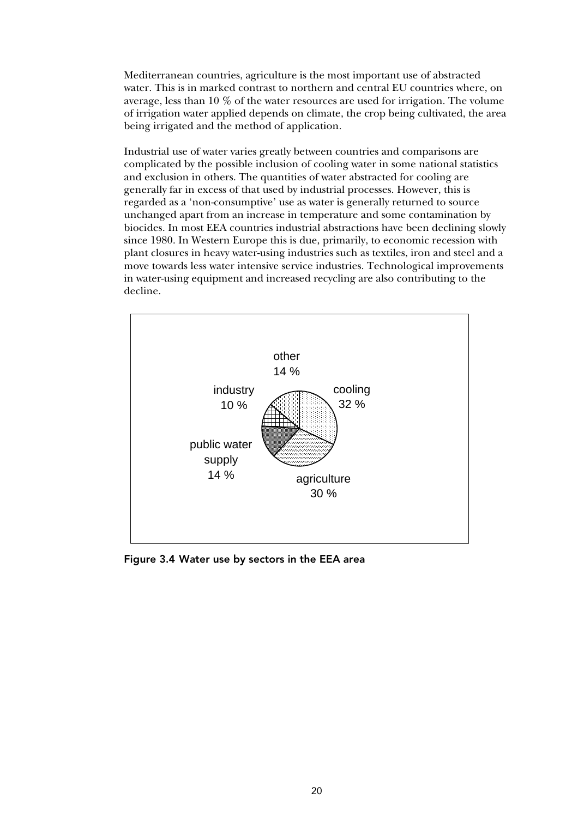Mediterranean countries, agriculture is the most important use of abstracted water. This is in marked contrast to northern and central EU countries where, on average, less than 10 % of the water resources are used for irrigation. The volume of irrigation water applied depends on climate, the crop being cultivated, the area being irrigated and the method of application.

Industrial use of water varies greatly between countries and comparisons are complicated by the possible inclusion of cooling water in some national statistics and exclusion in others. The quantities of water abstracted for cooling are generally far in excess of that used by industrial processes. However, this is regarded as a 'non-consumptive' use as water is generally returned to source unchanged apart from an increase in temperature and some contamination by biocides. In most EEA countries industrial abstractions have been declining slowly since 1980. In Western Europe this is due, primarily, to economic recession with plant closures in heavy water-using industries such as textiles, iron and steel and a move towards less water intensive service industries. Technological improvements in water-using equipment and increased recycling are also contributing to the decline.



Figure 3.4 Water use by sectors in the EEA area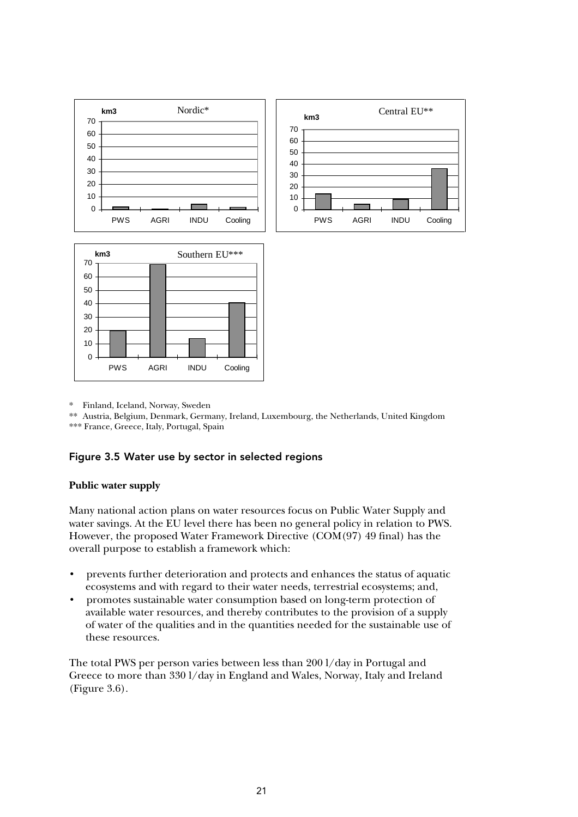

\* Finland, Iceland, Norway, Sweden

\*\* Austria, Belgium, Denmark, Germany, Ireland, Luxembourg, the Netherlands, United Kingdom \*\*\* France, Greece, Italy, Portugal, Spain

#### Figure 3.5 Water use by sector in selected regions

#### **Public water supply**

Many national action plans on water resources focus on Public Water Supply and water savings. At the EU level there has been no general policy in relation to PWS. However, the proposed Water Framework Directive (COM(97) 49 final) has the overall purpose to establish a framework which:

- prevents further deterioration and protects and enhances the status of aquatic ecosystems and with regard to their water needs, terrestrial ecosystems; and,
- promotes sustainable water consumption based on long-term protection of available water resources, and thereby contributes to the provision of a supply of water of the qualities and in the quantities needed for the sustainable use of these resources.

The total PWS per person varies between less than 200 l/day in Portugal and Greece to more than 330 l/day in England and Wales, Norway, Italy and Ireland (Figure 3.6).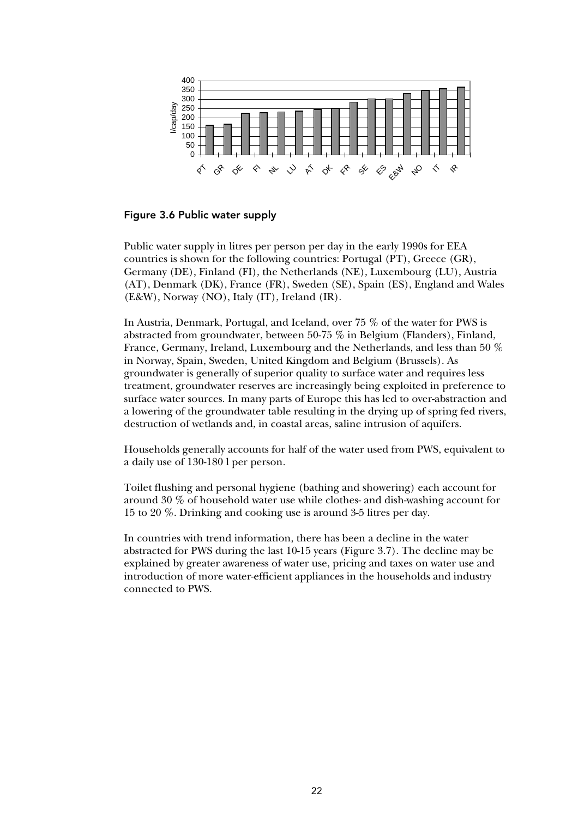

Figure 3.6 Public water supply

Public water supply in litres per person per day in the early 1990s for EEA countries is shown for the following countries: Portugal (PT), Greece (GR), Germany (DE), Finland (FI), the Netherlands (NE), Luxembourg (LU), Austria (AT), Denmark (DK), France (FR), Sweden (SE), Spain (ES), England and Wales (E&W), Norway (NO), Italy (IT), Ireland (IR).

In Austria, Denmark, Portugal, and Iceland, over 75 % of the water for PWS is abstracted from groundwater, between 50-75 % in Belgium (Flanders), Finland, France, Germany, Ireland, Luxembourg and the Netherlands, and less than 50 % in Norway, Spain, Sweden, United Kingdom and Belgium (Brussels). As groundwater is generally of superior quality to surface water and requires less treatment, groundwater reserves are increasingly being exploited in preference to surface water sources. In many parts of Europe this has led to over-abstraction and a lowering of the groundwater table resulting in the drying up of spring fed rivers, destruction of wetlands and, in coastal areas, saline intrusion of aquifers.

Households generally accounts for half of the water used from PWS, equivalent to a daily use of 130-180 l per person.

Toilet flushing and personal hygiene (bathing and showering) each account for around 30 % of household water use while clothes- and dish-washing account for 15 to 20 %. Drinking and cooking use is around 3-5 litres per day.

In countries with trend information, there has been a decline in the water abstracted for PWS during the last 10-15 years (Figure 3.7). The decline may be explained by greater awareness of water use, pricing and taxes on water use and introduction of more water-efficient appliances in the households and industry connected to PWS.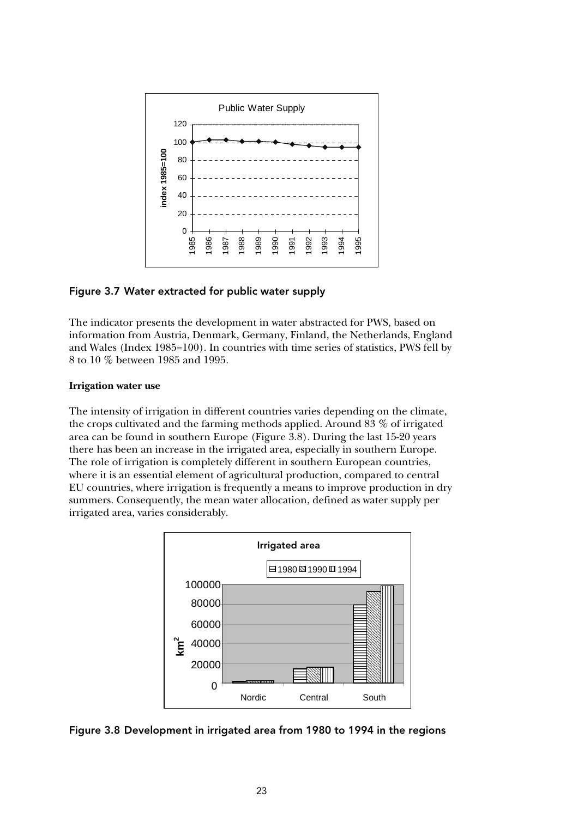

#### Figure 3.7 Water extracted for public water supply

The indicator presents the development in water abstracted for PWS, based on information from Austria, Denmark, Germany, Finland, the Netherlands, England and Wales (Index 1985=100). In countries with time series of statistics, PWS fell by 8 to 10 % between 1985 and 1995.

#### **Irrigation water use**

The intensity of irrigation in different countries varies depending on the climate, the crops cultivated and the farming methods applied. Around 83 % of irrigated area can be found in southern Europe (Figure 3.8). During the last 15-20 years there has been an increase in the irrigated area, especially in southern Europe. The role of irrigation is completely different in southern European countries, where it is an essential element of agricultural production, compared to central EU countries, where irrigation is frequently a means to improve production in dry summers. Consequently, the mean water allocation, defined as water supply per irrigated area, varies considerably.



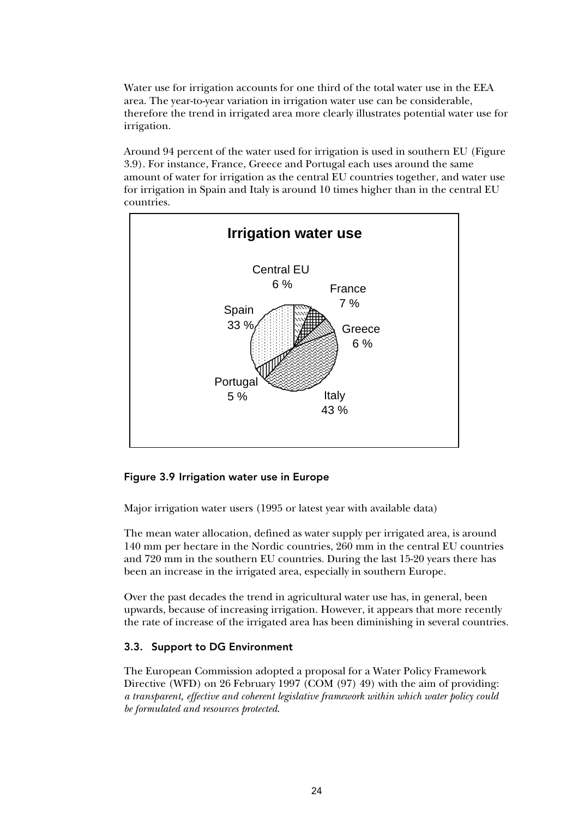Water use for irrigation accounts for one third of the total water use in the EEA area. The year-to-year variation in irrigation water use can be considerable, therefore the trend in irrigated area more clearly illustrates potential water use for irrigation.

Around 94 percent of the water used for irrigation is used in southern EU (Figure 3.9). For instance, France, Greece and Portugal each uses around the same amount of water for irrigation as the central EU countries together, and water use for irrigation in Spain and Italy is around 10 times higher than in the central EU countries.



#### Figure 3.9 Irrigation water use in Europe

Major irrigation water users (1995 or latest year with available data)

The mean water allocation, defined as water supply per irrigated area, is around 140 mm per hectare in the Nordic countries, 260 mm in the central EU countries and 720 mm in the southern EU countries. During the last 15-20 years there has been an increase in the irrigated area, especially in southern Europe.

Over the past decades the trend in agricultural water use has, in general, been upwards, because of increasing irrigation. However, it appears that more recently the rate of increase of the irrigated area has been diminishing in several countries.

#### 3.3. Support to DG Environment

The European Commission adopted a proposal for a Water Policy Framework Directive (WFD) on 26 February 1997 (COM (97) 49) with the aim of providing: *a transparent, effective and coherent legislative framework within which water policy could be formulated and resources protected*.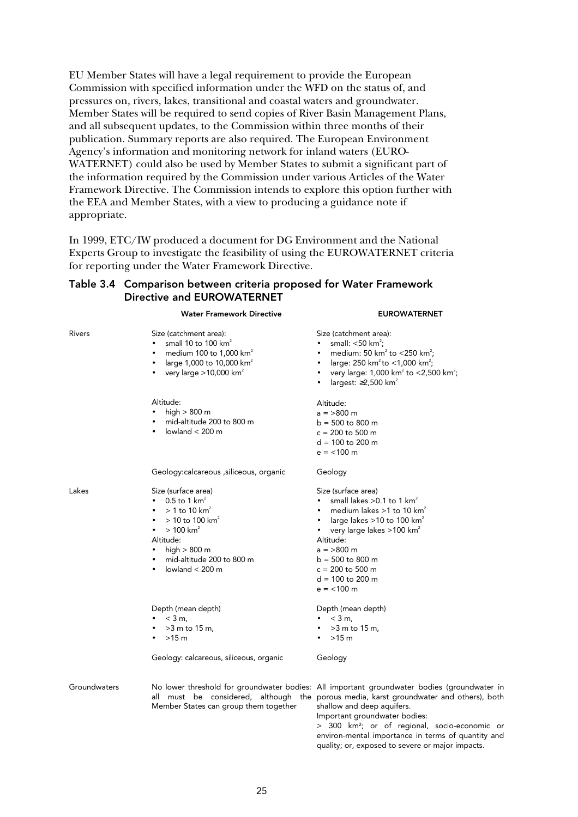EU Member States will have a legal requirement to provide the European Commission with specified information under the WFD on the status of, and pressures on, rivers, lakes, transitional and coastal waters and groundwater. Member States will be required to send copies of River Basin Management Plans, and all subsequent updates, to the Commission within three months of their publication. Summary reports are also required. The European Environment Agency's information and monitoring network for inland waters (EURO-WATERNET) could also be used by Member States to submit a significant part of the information required by the Commission under various Articles of the Water Framework Directive. The Commission intends to explore this option further with the EEA and Member States, with a view to producing a guidance note if appropriate.

In 1999, ETC/IW produced a document for DG Environment and the National Experts Group to investigate the feasibility of using the EUROWATERNET criteria for reporting under the Water Framework Directive.

Water Framework Directive **EUROWATERNET** 

#### Table 3.4 Comparison between criteria proposed for Water Framework Directive and EUROWATERNET

| Rivers       | Size (catchment area):<br>small 10 to 100 km <sup>2</sup><br>medium 100 to 1,000 $km^2$<br>$\bullet$<br>large 1,000 to 10,000 km <sup>2</sup><br>$\bullet$<br>very large $>10,000$ km <sup>2</sup><br>$\bullet$                              | Size (catchment area):<br>small: $<$ 50 km <sup>2</sup> ;<br>medium: 50 km <sup>2</sup> to <250 km <sup>2</sup> ;<br>large: 250 km <sup>2</sup> to <1,000 km <sup>2</sup> ;<br>very large: 1,000 km <sup>2</sup> to <2,500 km <sup>2</sup> ;<br>$\bullet$<br>largest: $\geq$ 2,500 km <sup>2</sup>                                                                      |
|--------------|----------------------------------------------------------------------------------------------------------------------------------------------------------------------------------------------------------------------------------------------|-------------------------------------------------------------------------------------------------------------------------------------------------------------------------------------------------------------------------------------------------------------------------------------------------------------------------------------------------------------------------|
|              | Altitude:<br>high $> 800$ m<br>mid-altitude 200 to 800 m<br>$\bullet$<br>lowland $<$ 200 m<br>$\bullet$                                                                                                                                      | Altitude:<br>$a = 800$ m<br>$b = 500$ to 800 m<br>$c = 200$ to 500 m<br>$d = 100$ to 200 m<br>$e = 100 \text{ m}$                                                                                                                                                                                                                                                       |
|              | Geology: calcareous , siliceous, organic                                                                                                                                                                                                     | Geology                                                                                                                                                                                                                                                                                                                                                                 |
| Lakes        | Size (surface area)<br>0.5 to 1 $km^2$<br>$>$ 1 to 10 km <sup>2</sup><br>$>$ 10 to 100 km <sup>2</sup><br>$> 100$ km <sup>2</sup><br>Altitude:<br>high $> 800$ m<br>$\bullet$<br>mid-altitude 200 to 800 m<br>lowland $<$ 200 m<br>$\bullet$ | Size (surface area)<br>small lakes $>0.1$ to 1 km <sup>2</sup><br>medium lakes $>1$ to 10 km <sup>2</sup><br>large lakes $>$ 10 to 100 km $^{\circ}$<br>very large lakes $>100$ km <sup>2</sup><br>$\bullet$<br>Altitude:<br>$a = >800$ m<br>$b = 500$ to 800 m<br>$c = 200$ to 500 m<br>$d = 100$ to 200 m<br>$e = < 100$ m                                            |
|              | Depth (mean depth)<br>$<$ 3 m,<br>$>3$ m to 15 m,<br>$>15$ m                                                                                                                                                                                 | Depth (mean depth)<br>$<$ 3 m,<br>$>3$ m to 15 m,<br>$>15$ m                                                                                                                                                                                                                                                                                                            |
|              | Geology: calcareous, siliceous, organic                                                                                                                                                                                                      | Geology                                                                                                                                                                                                                                                                                                                                                                 |
| Groundwaters | Member States can group them together                                                                                                                                                                                                        | No lower threshold for groundwater bodies: All important groundwater bodies (groundwater in<br>all must be considered, although the porous media, karst groundwater and others), both<br>shallow and deep aquifers.<br>Important groundwater bodies:<br>> 300 km <sup>2</sup> ; or of regional, socio-economic or<br>environ-mental importance in terms of quantity and |

quality; or, exposed to severe or major impacts.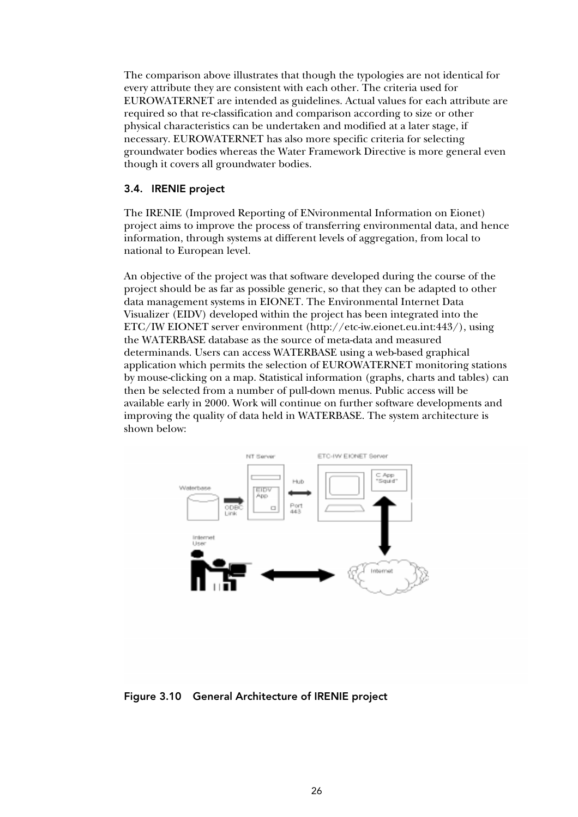The comparison above illustrates that though the typologies are not identical for every attribute they are consistent with each other. The criteria used for EUROWATERNET are intended as guidelines. Actual values for each attribute are required so that re-classification and comparison according to size or other physical characteristics can be undertaken and modified at a later stage, if necessary. EUROWATERNET has also more specific criteria for selecting groundwater bodies whereas the Water Framework Directive is more general even though it covers all groundwater bodies.

#### 3.4. IRENIE project

The IRENIE (Improved Reporting of ENvironmental Information on Eionet) project aims to improve the process of transferring environmental data, and hence information, through systems at different levels of aggregation, from local to national to European level.

An objective of the project was that software developed during the course of the project should be as far as possible generic, so that they can be adapted to other data management systems in EIONET. The Environmental Internet Data Visualizer (EIDV) developed within the project has been integrated into the ETC/IW EIONET server environment (http://etc-iw.eionet.eu.int:443/), using the WATERBASE database as the source of meta-data and measured determinands. Users can access WATERBASE using a web-based graphical application which permits the selection of EUROWATERNET monitoring stations by mouse-clicking on a map. Statistical information (graphs, charts and tables) can then be selected from a number of pull-down menus. Public access will be available early in 2000. Work will continue on further software developments and improving the quality of data held in WATERBASE. The system architecture is shown below:



Figure 3.10 General Architecture of IRENIE project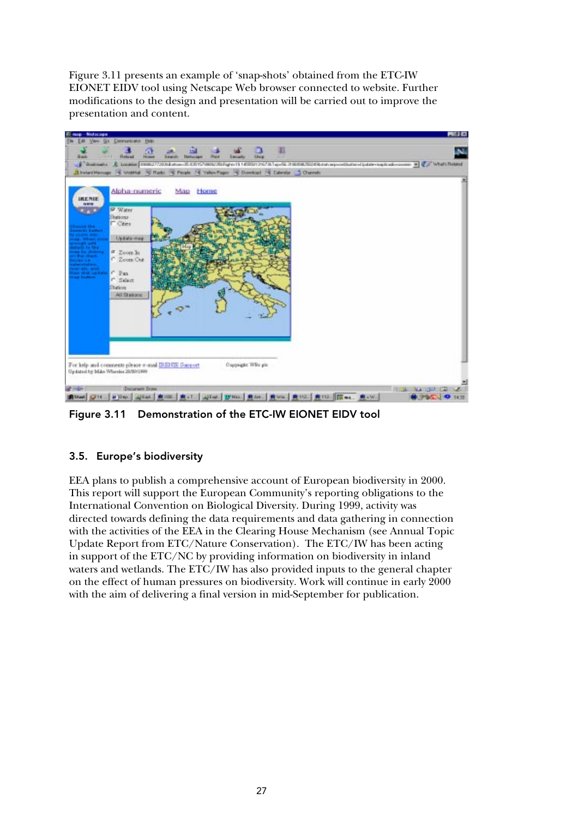Figure 3.11 presents an example of 'snap-shots' obtained from the ETC-IW EIONET EIDV tool using Netscape Web browser connected to website. Further modifications to the design and presentation will be carried out to improve the presentation and content.



Figure 3.11 Demonstration of the ETC-IW EIONET EIDV tool

#### 3.5. Europe's biodiversity

EEA plans to publish a comprehensive account of European biodiversity in 2000. This report will support the European Community's reporting obligations to the International Convention on Biological Diversity. During 1999, activity was directed towards defining the data requirements and data gathering in connection with the activities of the EEA in the Clearing House Mechanism (see Annual Topic Update Report from ETC/Nature Conservation). The ETC/IW has been acting in support of the ETC/NC by providing information on biodiversity in inland waters and wetlands. The ETC/IW has also provided inputs to the general chapter on the effect of human pressures on biodiversity. Work will continue in early 2000 with the aim of delivering a final version in mid-September for publication.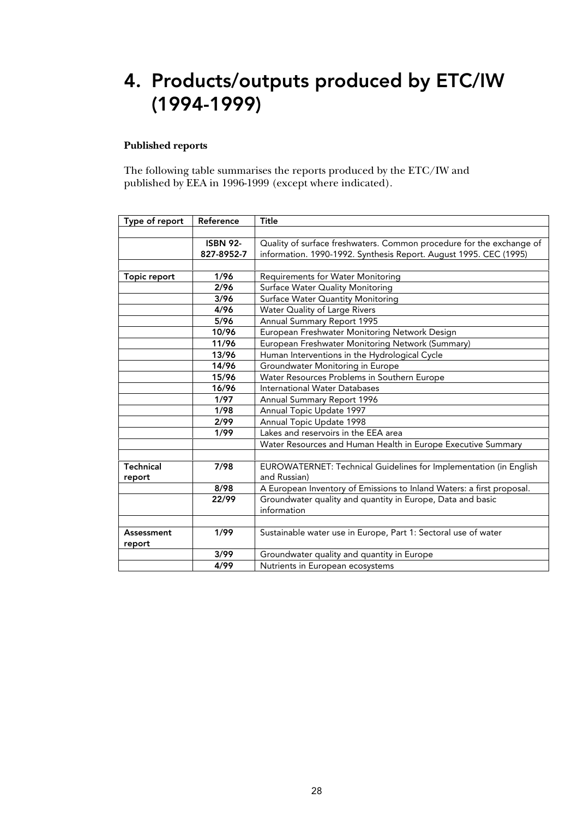# 4. Products/outputs produced by ETC/IW (1994-1999)

#### **Published reports**

The following table summarises the reports produced by the ETC/IW and published by EEA in 1996-1999 (except where indicated).

| Type of report   | Reference       | Title                                                                 |
|------------------|-----------------|-----------------------------------------------------------------------|
|                  |                 |                                                                       |
|                  | <b>ISBN 92-</b> | Quality of surface freshwaters. Common procedure for the exchange of  |
|                  | 827-8952-7      | information. 1990-1992. Synthesis Report. August 1995. CEC (1995)     |
|                  |                 |                                                                       |
| Topic report     | 1/96            | <b>Requirements for Water Monitoring</b>                              |
|                  | 2/96            | Surface Water Quality Monitoring                                      |
|                  | 3/96            | Surface Water Quantity Monitoring                                     |
|                  | 4/96            | Water Quality of Large Rivers                                         |
|                  | 5/96            | Annual Summary Report 1995                                            |
|                  | 10/96           | European Freshwater Monitoring Network Design                         |
|                  | 11/96           | European Freshwater Monitoring Network (Summary)                      |
|                  | 13/96           | Human Interventions in the Hydrological Cycle                         |
|                  | 14/96           | Groundwater Monitoring in Europe                                      |
|                  | 15/96           | Water Resources Problems in Southern Europe                           |
|                  | 16/96           | International Water Databases                                         |
|                  | 1/97            | Annual Summary Report 1996                                            |
|                  | 1/98            | Annual Topic Update 1997                                              |
|                  | 2/99            | Annual Topic Update 1998                                              |
|                  | 1/99            | Lakes and reservoirs in the EEA area                                  |
|                  |                 | Water Resources and Human Health in Europe Executive Summary          |
|                  |                 |                                                                       |
| <b>Technical</b> | 7/98            | EUROWATERNET: Technical Guidelines for Implementation (in English     |
| report           |                 | and Russian)                                                          |
|                  | 8/98            | A European Inventory of Emissions to Inland Waters: a first proposal. |
|                  | 22/99           | Groundwater quality and quantity in Europe, Data and basic            |
|                  |                 | information                                                           |
|                  |                 |                                                                       |
| Assessment       | 1/99            | Sustainable water use in Europe, Part 1: Sectoral use of water        |
| report           |                 |                                                                       |
|                  | 3/99            | Groundwater quality and quantity in Europe                            |
|                  | 4/99            | Nutrients in European ecosystems                                      |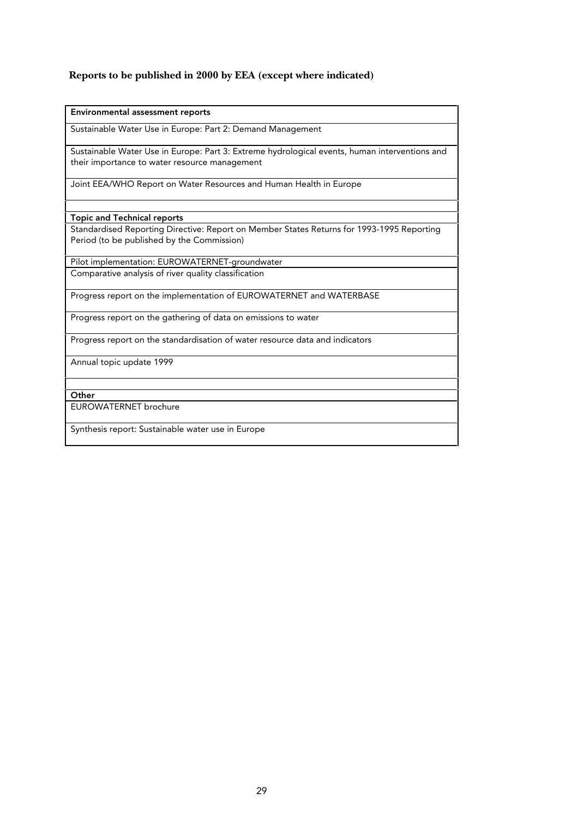#### **Reports to be published in 2000 by EEA (except where indicated)**

Sustainable Water Use in Europe: Part 2: Demand Management

Sustainable Water Use in Europe: Part 3: Extreme hydrological events, human interventions and their importance to water resource management

Joint EEA/WHO Report on Water Resources and Human Health in Europe

Topic and Technical reports

Standardised Reporting Directive: Report on Member States Returns for 1993-1995 Reporting Period (to be published by the Commission)

Pilot implementation: EUROWATERNET-groundwater Comparative analysis of river quality classification

Progress report on the implementation of EUROWATERNET and WATERBASE

Progress report on the gathering of data on emissions to water

Progress report on the standardisation of water resource data and indicators

Annual topic update 1999

**Other** 

EUROWATERNET brochure

Synthesis report: Sustainable water use in Europe